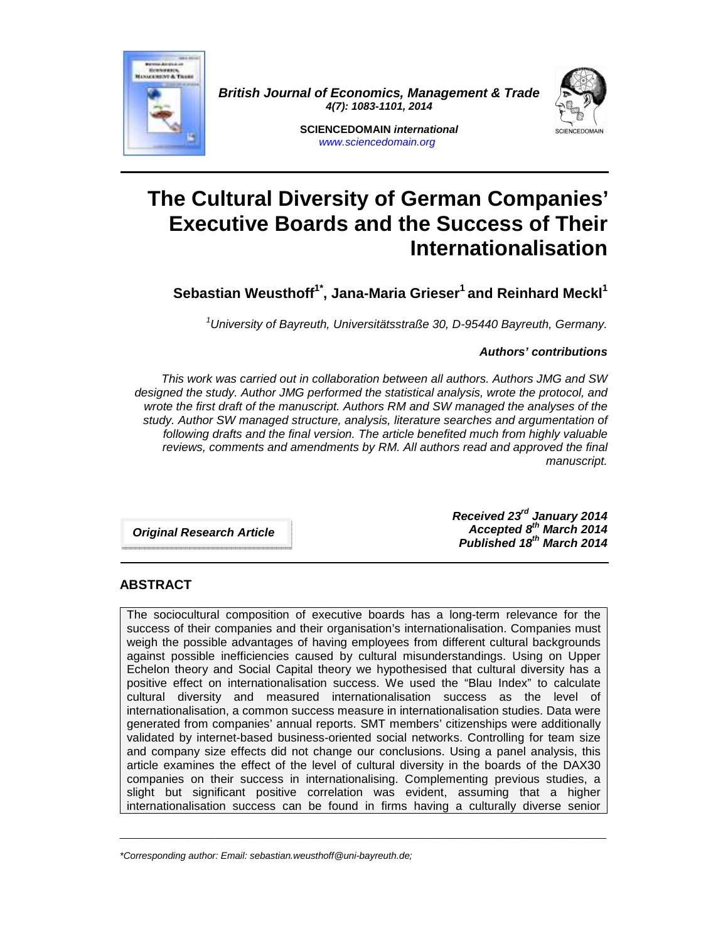

**British Journal of Economics, Management & Trade 4(7): 1083-1101, 2014** 



**SCIENCEDOMAIN international**  www.sciencedomain.org

# **The Cultural Diversity of German Companies' Executive Boards and the Success of Their Internationalisation**

**Sebastian Weusthoff1\*, Jana-Maria Grieser<sup>1</sup>and Reinhard Meckl<sup>1</sup>**

 $1$ University of Bayreuth, Universitätsstraße 30, D-95440 Bayreuth, Germany.

## **Authors' contributions**

This work was carried out in collaboration between all authors. Authors JMG and SW designed the study. Author JMG performed the statistical analysis, wrote the protocol, and wrote the first draft of the manuscript. Authors RM and SW managed the analyses of the study. Author SW managed structure, analysis, literature searches and argumentation of following drafts and the final version. The article benefited much from highly valuable reviews, comments and amendments by RM. All authors read and approved the final manuscript.

**Original Research Article** 

**Received 23rd January 2014 Accepted 8th March 2014 Published 18th March 2014** 

# **ABSTRACT**

The sociocultural composition of executive boards has a long-term relevance for the success of their companies and their organisation's internationalisation. Companies must weigh the possible advantages of having employees from different cultural backgrounds against possible inefficiencies caused by cultural misunderstandings. Using on Upper Echelon theory and Social Capital theory we hypothesised that cultural diversity has a positive effect on internationalisation success. We used the "Blau Index" to calculate cultural diversity and measured internationalisation success as the level of internationalisation, a common success measure in internationalisation studies. Data were generated from companies' annual reports. SMT members' citizenships were additionally validated by internet-based business-oriented social networks. Controlling for team size and company size effects did not change our conclusions. Using a panel analysis, this article examines the effect of the level of cultural diversity in the boards of the DAX30 companies on their success in internationalising. Complementing previous studies, a slight but significant positive correlation was evident, assuming that a higher internationalisation success can be found in firms having a culturally diverse senior

 $\_$  , and the set of the set of the set of the set of the set of the set of the set of the set of the set of the set of the set of the set of the set of the set of the set of the set of the set of the set of the set of th

<sup>\*</sup>Corresponding author: Email: sebastian.weusthoff@uni-bayreuth.de;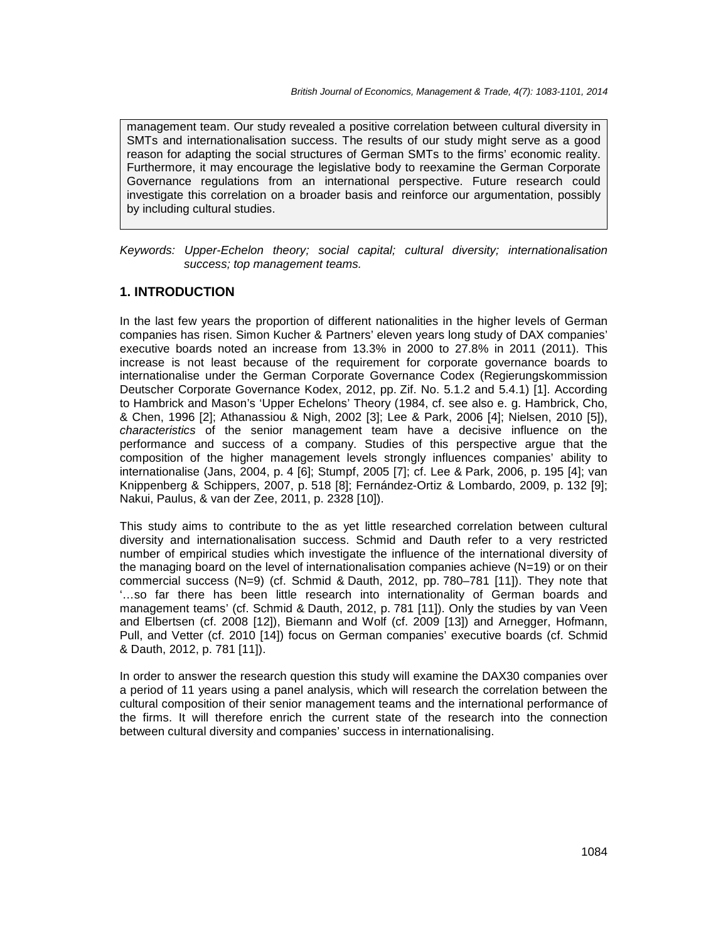management team. Our study revealed a positive correlation between cultural diversity in SMTs and internationalisation success. The results of our study might serve as a good reason for adapting the social structures of German SMTs to the firms' economic reality. Furthermore, it may encourage the legislative body to reexamine the German Corporate Governance regulations from an international perspective. Future research could investigate this correlation on a broader basis and reinforce our argumentation, possibly by including cultural studies.

Keywords: Upper-Echelon theory; social capital; cultural diversity; internationalisation success; top management teams.

## **1. INTRODUCTION**

In the last few years the proportion of different nationalities in the higher levels of German companies has risen. Simon Kucher & Partners' eleven years long study of DAX companies' executive boards noted an increase from 13.3% in 2000 to 27.8% in 2011 (2011). This increase is not least because of the requirement for corporate governance boards to internationalise under the German Corporate Governance Codex (Regierungskommission Deutscher Corporate Governance Kodex, 2012, pp. Zif. No. 5.1.2 and 5.4.1) [1]. According to Hambrick and Mason's 'Upper Echelons' Theory (1984, cf. see also e. g. Hambrick, Cho, & Chen, 1996 [2]; Athanassiou & Nigh, 2002 [3]; Lee & Park, 2006 [4]; Nielsen, 2010 [5]), characteristics of the senior management team have a decisive influence on the performance and success of a company. Studies of this perspective argue that the composition of the higher management levels strongly influences companies' ability to internationalise (Jans, 2004, p. 4 [6]; Stumpf, 2005 [7]; cf. Lee & Park, 2006, p. 195 [4]; van Knippenberg & Schippers, 2007, p. 518 [8]; Fernández-Ortiz & Lombardo, 2009, p. 132 [9]; Nakui, Paulus, & van der Zee, 2011, p. 2328 [10]).

This study aims to contribute to the as yet little researched correlation between cultural diversity and internationalisation success. Schmid and Dauth refer to a very restricted number of empirical studies which investigate the influence of the international diversity of the managing board on the level of internationalisation companies achieve (N=19) or on their commercial success (N=9) (cf. Schmid & Dauth, 2012, pp. 780–781 [11]). They note that '…so far there has been little research into internationality of German boards and management teams' (cf. Schmid & Dauth, 2012, p. 781 [11]). Only the studies by van Veen and Elbertsen (cf. 2008 [12]), Biemann and Wolf (cf. 2009 [13]) and Arnegger, Hofmann, Pull, and Vetter (cf. 2010 [14]) focus on German companies' executive boards (cf. Schmid & Dauth, 2012, p. 781 [11]).

In order to answer the research question this study will examine the DAX30 companies over a period of 11 years using a panel analysis, which will research the correlation between the cultural composition of their senior management teams and the international performance of the firms. It will therefore enrich the current state of the research into the connection between cultural diversity and companies' success in internationalising.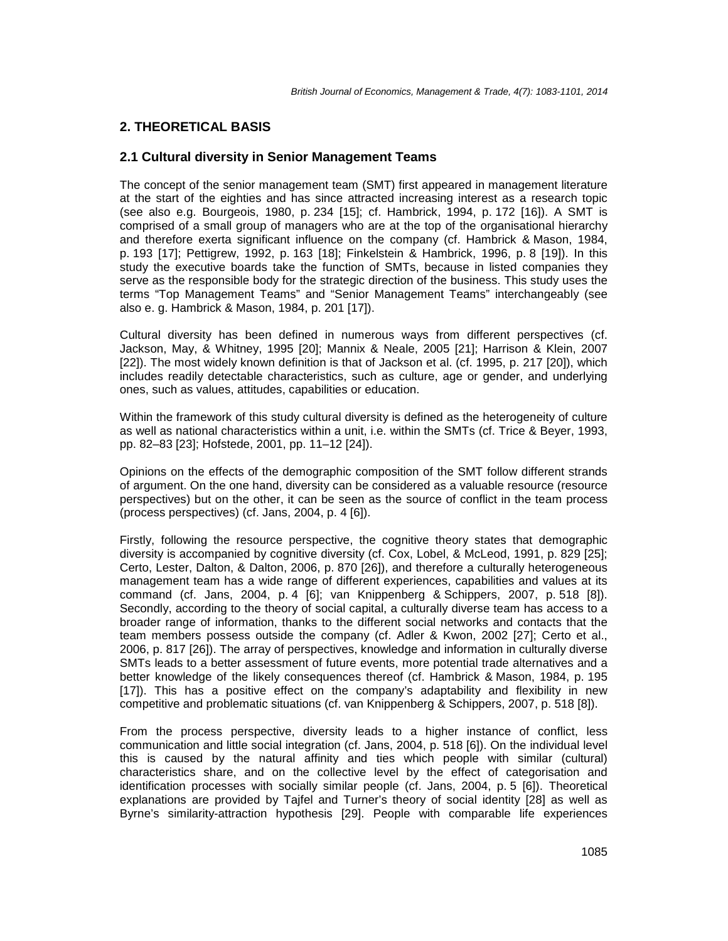# **2. THEORETICAL BASIS**

# **2.1 Cultural diversity in Senior Management Teams**

The concept of the senior management team (SMT) first appeared in management literature at the start of the eighties and has since attracted increasing interest as a research topic (see also e.g. Bourgeois, 1980, p. 234 [15]; cf. Hambrick, 1994, p. 172 [16]). A SMT is comprised of a small group of managers who are at the top of the organisational hierarchy and therefore exerta significant influence on the company (cf. Hambrick & Mason, 1984, p. 193 [17]; Pettigrew, 1992, p. 163 [18]; Finkelstein & Hambrick, 1996, p. 8 [19]). In this study the executive boards take the function of SMTs, because in listed companies they serve as the responsible body for the strategic direction of the business. This study uses the terms "Top Management Teams" and "Senior Management Teams" interchangeably (see also e. g. Hambrick & Mason, 1984, p. 201 [17]).

Cultural diversity has been defined in numerous ways from different perspectives (cf. Jackson, May, & Whitney, 1995 [20]; Mannix & Neale, 2005 [21]; Harrison & Klein, 2007 [22]). The most widely known definition is that of Jackson et al. (cf. 1995, p. 217 [20]), which includes readily detectable characteristics, such as culture, age or gender, and underlying ones, such as values, attitudes, capabilities or education.

Within the framework of this study cultural diversity is defined as the heterogeneity of culture as well as national characteristics within a unit, i.e. within the SMTs (cf. Trice & Beyer, 1993, pp. 82–83 [23]; Hofstede, 2001, pp. 11–12 [24]).

Opinions on the effects of the demographic composition of the SMT follow different strands of argument. On the one hand, diversity can be considered as a valuable resource (resource perspectives) but on the other, it can be seen as the source of conflict in the team process (process perspectives) (cf. Jans, 2004, p. 4 [6]).

Firstly, following the resource perspective, the cognitive theory states that demographic diversity is accompanied by cognitive diversity (cf. Cox, Lobel, & McLeod, 1991, p. 829 [25]; Certo, Lester, Dalton, & Dalton, 2006, p. 870 [26]), and therefore a culturally heterogeneous management team has a wide range of different experiences, capabilities and values at its command (cf. Jans, 2004, p. 4 [6]; van Knippenberg & Schippers, 2007, p. 518 [8]). Secondly, according to the theory of social capital, a culturally diverse team has access to a broader range of information, thanks to the different social networks and contacts that the team members possess outside the company (cf. Adler & Kwon, 2002 [27]; Certo et al., 2006, p. 817 [26]). The array of perspectives, knowledge and information in culturally diverse SMTs leads to a better assessment of future events, more potential trade alternatives and a better knowledge of the likely consequences thereof (cf. Hambrick & Mason, 1984, p. 195 [17]). This has a positive effect on the company's adaptability and flexibility in new competitive and problematic situations (cf. van Knippenberg & Schippers, 2007, p. 518 [8]).

From the process perspective, diversity leads to a higher instance of conflict, less communication and little social integration (cf. Jans, 2004, p. 518 [6]). On the individual level this is caused by the natural affinity and ties which people with similar (cultural) characteristics share, and on the collective level by the effect of categorisation and identification processes with socially similar people (cf. Jans, 2004, p. 5 [6]). Theoretical explanations are provided by Tajfel and Turner's theory of social identity [28] as well as Byrne's similarity-attraction hypothesis [29]. People with comparable life experiences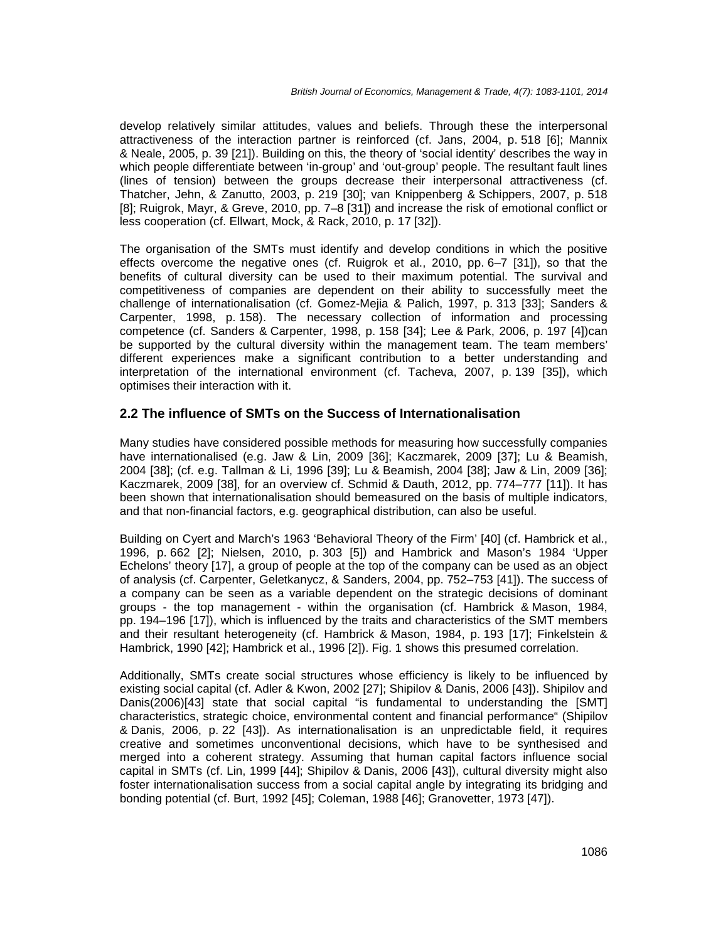develop relatively similar attitudes, values and beliefs. Through these the interpersonal attractiveness of the interaction partner is reinforced (cf. Jans, 2004, p. 518 [6]; Mannix & Neale, 2005, p. 39 [21]). Building on this, the theory of 'social identity' describes the way in which people differentiate between 'in-group' and 'out-group' people. The resultant fault lines (lines of tension) between the groups decrease their interpersonal attractiveness (cf. Thatcher, Jehn, & Zanutto, 2003, p. 219 [30]; van Knippenberg & Schippers, 2007, p. 518 [8]; Ruigrok, Mayr, & Greve, 2010, pp. 7–8 [31]) and increase the risk of emotional conflict or less cooperation (cf. Ellwart, Mock, & Rack, 2010, p. 17 [32]).

The organisation of the SMTs must identify and develop conditions in which the positive effects overcome the negative ones (cf. Ruigrok et al., 2010, pp. 6–7 [31]), so that the benefits of cultural diversity can be used to their maximum potential. The survival and competitiveness of companies are dependent on their ability to successfully meet the challenge of internationalisation (cf. Gomez-Mejia & Palich, 1997, p. 313 [33]; Sanders & Carpenter, 1998, p. 158). The necessary collection of information and processing competence (cf. Sanders & Carpenter, 1998, p. 158 [34]; Lee & Park, 2006, p. 197 [4])can be supported by the cultural diversity within the management team. The team members' different experiences make a significant contribution to a better understanding and interpretation of the international environment (cf. Tacheva, 2007, p. 139 [35]), which optimises their interaction with it.

#### **2.2 The influence of SMTs on the Success of Internationalisation**

Many studies have considered possible methods for measuring how successfully companies have internationalised (e.g. Jaw & Lin, 2009 [36]; Kaczmarek, 2009 [37]; Lu & Beamish, 2004 [38]; (cf. e.g. Tallman & Li, 1996 [39]; Lu & Beamish, 2004 [38]; Jaw & Lin, 2009 [36]; Kaczmarek, 2009 [38], for an overview cf. Schmid & Dauth, 2012, pp. 774–777 [11]). It has been shown that internationalisation should bemeasured on the basis of multiple indicators, and that non-financial factors, e.g. geographical distribution, can also be useful.

Building on Cyert and March's 1963 'Behavioral Theory of the Firm' [40] (cf. Hambrick et al., 1996, p. 662 [2]; Nielsen, 2010, p. 303 [5]) and Hambrick and Mason's 1984 'Upper Echelons' theory [17], a group of people at the top of the company can be used as an object of analysis (cf. Carpenter, Geletkanycz, & Sanders, 2004, pp. 752–753 [41]). The success of a company can be seen as a variable dependent on the strategic decisions of dominant groups - the top management - within the organisation (cf. Hambrick & Mason, 1984, pp. 194–196 [17]), which is influenced by the traits and characteristics of the SMT members and their resultant heterogeneity (cf. Hambrick & Mason, 1984, p. 193 [17]; Finkelstein & Hambrick, 1990 [42]; Hambrick et al., 1996 [2]). Fig. 1 shows this presumed correlation.

Additionally, SMTs create social structures whose efficiency is likely to be influenced by existing social capital (cf. Adler & Kwon, 2002 [27]; Shipilov & Danis, 2006 [43]). Shipilov and Danis(2006)[43] state that social capital "is fundamental to understanding the [SMT] characteristics, strategic choice, environmental content and financial performance" (Shipilov & Danis, 2006, p. 22 [43]). As internationalisation is an unpredictable field, it requires creative and sometimes unconventional decisions, which have to be synthesised and merged into a coherent strategy. Assuming that human capital factors influence social capital in SMTs (cf. Lin, 1999 [44]; Shipilov & Danis, 2006 [43]), cultural diversity might also foster internationalisation success from a social capital angle by integrating its bridging and bonding potential (cf. Burt, 1992 [45]; Coleman, 1988 [46]; Granovetter, 1973 [47]).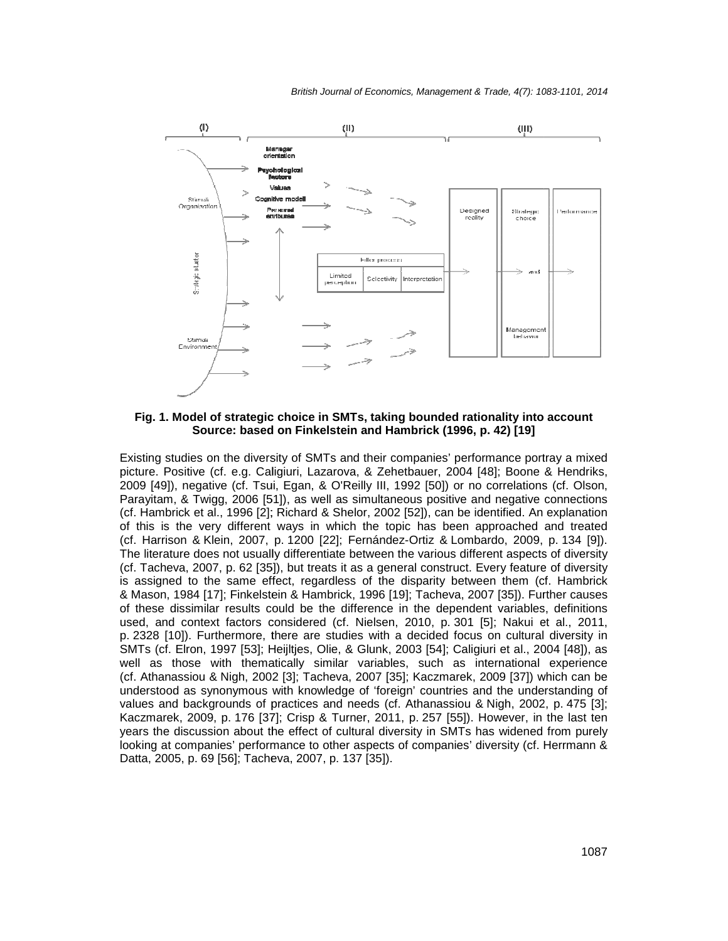

**Fig. 1. Model of strategic choice in SMTs, taking bounded rationality into account into accountSource: based on Finkelstein and Hambrick (1996, p. 42) [19]** 

Existing studies on the diversity of SMTs and their companies' performance portray a mixed Existing studies on the diversity of SMTs and their companies' performance portray a mixed<br>picture. Positive (cf. e.g. Caligiuri, Lazarova, & Zehetbauer, 2004 [48]; Boone & Hendriks, 2009 [49]), negative (cf. Tsui, Egan, & O'Reilly III, 1992 [50]) or no correlations (cf. Olson, Parayitam, & Twigg, 2006 [51]), as well as simultaneous positive and negative connections Parayitam, & Twigg, 2006 [51]), as well as simultaneous positive and negative connections<br>(cf. Hambrick et al., 1996 [2]; Richard & Shelor, 2002 [52]), can be identified. An explanation of this is the very different ways in which the topic has been approached and treated of this is the very different ways in which the topic has been approached and treated<br>(cf. Harrison & Klein, 2007, p. 1200 [22]; Fernández-Ortiz & Lombardo, 2009, p. 134 [9]). The literature does not usually differentiate between the various different aspects of diversity (cf. Tacheva, 2007, p. 62 [35]), but treats it as a general construct. Every feature of diversity The literature does not usually differentiate between the various different aspects of diversity<br>(cf. Tacheva, 2007, p. 62 [35]), but treats it as a general construct. Every feature of diversity<br>is assigned to the same eff & Mason, 1984 [17]; Finkelstein & Hambrick, 1996 [19]; Tacheva, 2007 [35]). Further causes of these dissimilar results could be the difference in the dependent variables, definitions used, and context factors considered (cf. Nielsen, 2010, p. 301 [5]; Nakui et al., 2011, p. 2328 [10]). Furthermore, there are studies with a decided focus on cultural diversity in p. 2328 [10]). Furthermore, there are studies with a decided focus on cultural diversity in<br>SMTs (cf. Elron, 1997 [53]; Heijltjes, Olie, & Glunk, 2003 [54]; Caligiuri et al., 2004 [48]), as well as those with thematically similar variables, such as international experience (cf. Athanassiou & Nigh, 2002 [3]; Tacheva, 2007 [35]; Kaczmarek, 2009 [37]) which can be (cf. Athanassiou & Nigh, 2002 [3]; Tacheva, 2007 [35]; Kaczmarek, 2009 [37]) which can be<br>understood as synonymous with knowledge of 'foreign' countries and the understanding of understood as synonymous with knowledge of 'foreign' countries and the understanding of<br>values and backgrounds of practices and needs (cf. Athanassiou & Nigh, 2002, p. 475 [3]; Kaczmarek, 2009, p. 176 [37]; Crisp & Turner, 2011, p. 257 [55]). However, in the last ten years the discussion about the effect of cultural diversity in SMTs has widened from purely looking at companies' performance to other aspects of companies' diversity (cf. Herrmann & Datta, 2005, p. 69 [56]; Tacheva, 2007, p. 137 [35]). 996 [19]; Tacheva, 2007 [35]). Further causes<br>rence in the dependent variables, definitions<br>ielsen, 2010, p. 301 [5]; Nakui et al., 2011,<br>with a decided focus on cultural diversity in<br>Slunk, 2003 [54]; Caligiuri et al., 20 vever, in the last ten<br>widened from purely<br>rsity (cf. Herrmann &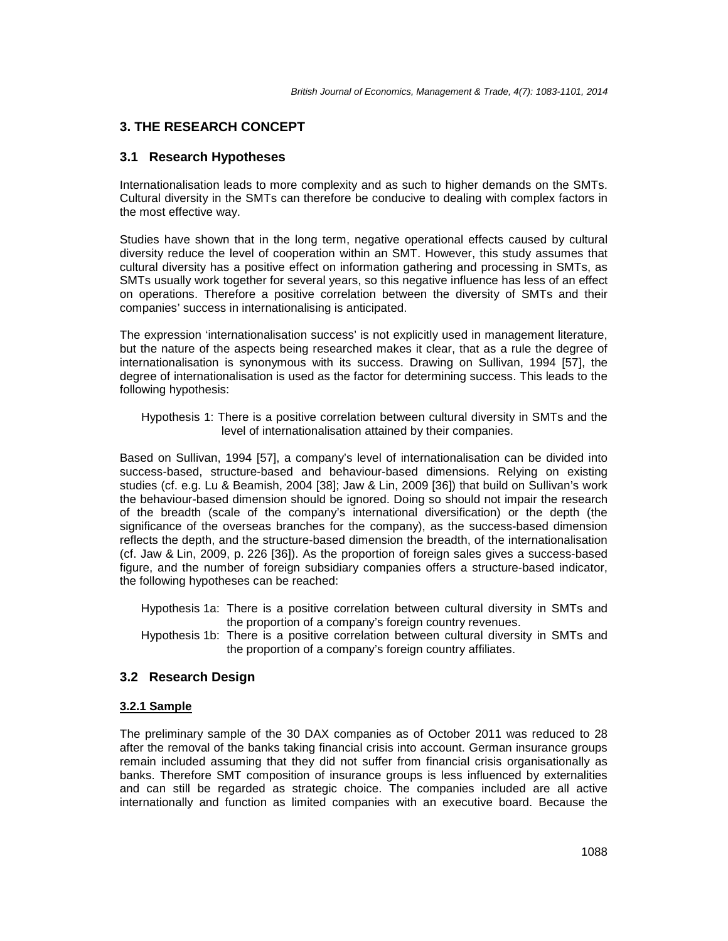# **3. THE RESEARCH CONCEPT**

# **3.1 Research Hypotheses**

Internationalisation leads to more complexity and as such to higher demands on the SMTs. Cultural diversity in the SMTs can therefore be conducive to dealing with complex factors in the most effective way.

Studies have shown that in the long term, negative operational effects caused by cultural diversity reduce the level of cooperation within an SMT. However, this study assumes that cultural diversity has a positive effect on information gathering and processing in SMTs, as SMTs usually work together for several years, so this negative influence has less of an effect on operations. Therefore a positive correlation between the diversity of SMTs and their companies' success in internationalising is anticipated.

The expression 'internationalisation success' is not explicitly used in management literature, but the nature of the aspects being researched makes it clear, that as a rule the degree of internationalisation is synonymous with its success. Drawing on Sullivan, 1994 [57], the degree of internationalisation is used as the factor for determining success. This leads to the following hypothesis:

Hypothesis 1: There is a positive correlation between cultural diversity in SMTs and the level of internationalisation attained by their companies.

Based on Sullivan, 1994 [57], a company's level of internationalisation can be divided into success-based, structure-based and behaviour-based dimensions. Relying on existing studies (cf. e.g. Lu & Beamish, 2004 [38]; Jaw & Lin, 2009 [36]) that build on Sullivan's work the behaviour-based dimension should be ignored. Doing so should not impair the research of the breadth (scale of the company's international diversification) or the depth (the significance of the overseas branches for the company), as the success-based dimension reflects the depth, and the structure-based dimension the breadth, of the internationalisation (cf. Jaw & Lin, 2009, p. 226 [36]). As the proportion of foreign sales gives a success-based figure, and the number of foreign subsidiary companies offers a structure-based indicator, the following hypotheses can be reached:

- Hypothesis 1a: There is a positive correlation between cultural diversity in SMTs and the proportion of a company's foreign country revenues.
- Hypothesis 1b: There is a positive correlation between cultural diversity in SMTs and the proportion of a company's foreign country affiliates.

# **3.2 Research Design**

#### **3.2.1 Sample**

The preliminary sample of the 30 DAX companies as of October 2011 was reduced to 28 after the removal of the banks taking financial crisis into account. German insurance groups remain included assuming that they did not suffer from financial crisis organisationally as banks. Therefore SMT composition of insurance groups is less influenced by externalities and can still be regarded as strategic choice. The companies included are all active internationally and function as limited companies with an executive board. Because the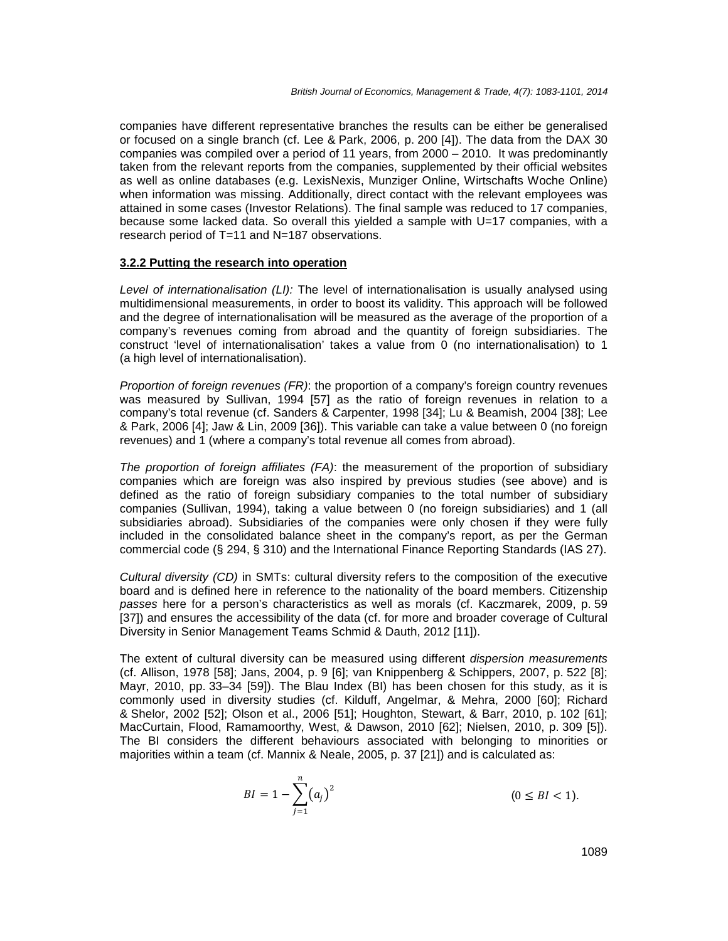companies have different representative branches the results can be either be generalised or focused on a single branch (cf. Lee & Park, 2006, p. 200 [4]). The data from the DAX 30 companies was compiled over a period of 11 years, from 2000 – 2010. It was predominantly taken from the relevant reports from the companies, supplemented by their official websites as well as online databases (e.g. LexisNexis, Munziger Online, Wirtschafts Woche Online) when information was missing. Additionally, direct contact with the relevant employees was attained in some cases (Investor Relations). The final sample was reduced to 17 companies, because some lacked data. So overall this yielded a sample with U=17 companies, with a research period of T=11 and N=187 observations.

#### **3.2.2 Putting the research into operation**

Level of internationalisation  $(LI)$ : The level of internationalisation is usually analysed using multidimensional measurements, in order to boost its validity. This approach will be followed and the degree of internationalisation will be measured as the average of the proportion of a company's revenues coming from abroad and the quantity of foreign subsidiaries. The construct 'level of internationalisation' takes a value from 0 (no internationalisation) to 1 (a high level of internationalisation).

Proportion of foreign revenues (FR): the proportion of a company's foreign country revenues was measured by Sullivan, 1994 [57] as the ratio of foreign revenues in relation to a company's total revenue (cf. Sanders & Carpenter, 1998 [34]; Lu & Beamish, 2004 [38]; Lee & Park, 2006 [4]; Jaw & Lin, 2009 [36]). This variable can take a value between 0 (no foreign revenues) and 1 (where a company's total revenue all comes from abroad).

The proportion of foreign affiliates (FA): the measurement of the proportion of subsidiary companies which are foreign was also inspired by previous studies (see above) and is defined as the ratio of foreign subsidiary companies to the total number of subsidiary companies (Sullivan, 1994), taking a value between 0 (no foreign subsidiaries) and 1 (all subsidiaries abroad). Subsidiaries of the companies were only chosen if they were fully included in the consolidated balance sheet in the company's report, as per the German commercial code (§ 294, § 310) and the International Finance Reporting Standards (IAS 27).

Cultural diversity (CD) in SMTs: cultural diversity refers to the composition of the executive board and is defined here in reference to the nationality of the board members. Citizenship passes here for a person's characteristics as well as morals (cf. Kaczmarek, 2009, p. 59 [37]) and ensures the accessibility of the data (cf. for more and broader coverage of Cultural Diversity in Senior Management Teams Schmid & Dauth, 2012 [11]).

The extent of cultural diversity can be measured using different dispersion measurements (cf. Allison, 1978 [58]; Jans, 2004, p. 9 [6]; van Knippenberg & Schippers, 2007, p. 522 [8]; Mayr, 2010, pp. 33–34 [59]). The Blau Index (BI) has been chosen for this study, as it is commonly used in diversity studies (cf. Kilduff, Angelmar, & Mehra, 2000 [60]; Richard & Shelor, 2002 [52]; Olson et al., 2006 [51]; Houghton, Stewart, & Barr, 2010, p. 102 [61]; MacCurtain, Flood, Ramamoorthy, West, & Dawson, 2010 [62]; Nielsen, 2010, p. 309 [5]). The BI considers the different behaviours associated with belonging to minorities or majorities within a team (cf. Mannix & Neale, 2005, p. 37 [21]) and is calculated as:

$$
BI = 1 - \sum_{j=1}^{n} (a_j)^2
$$
 (0 \le BI < 1).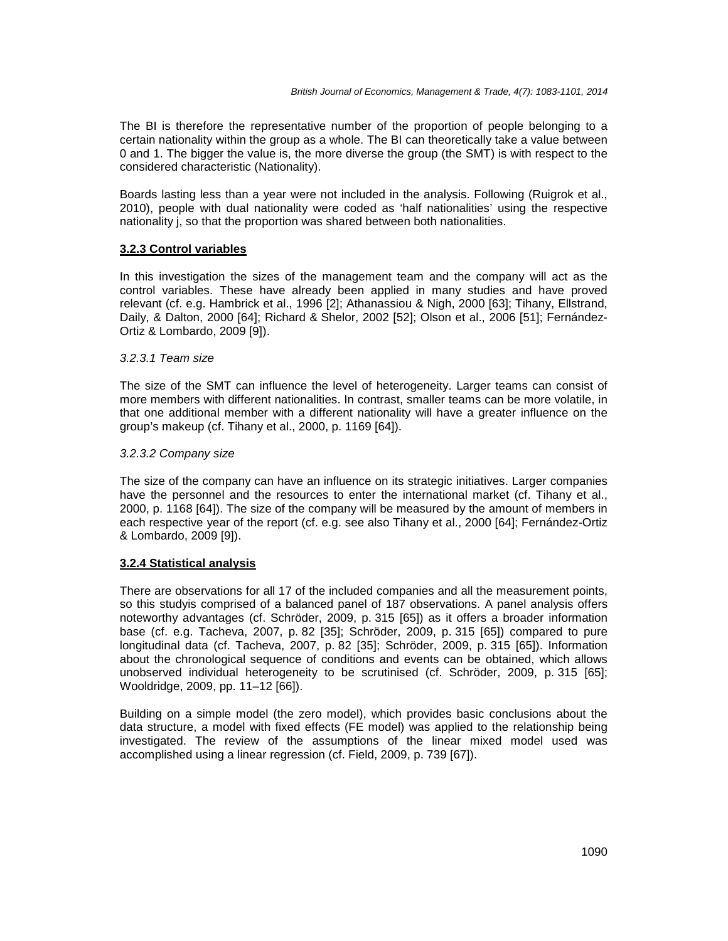The BI is therefore the representative number of the proportion of people belonging to a certain nationality within the group as a whole. The BI can theoretically take a value between 0 and 1. The bigger the value is, the more diverse the group (the SMT) is with respect to the considered characteristic (Nationality).

Boards lasting less than a year were not included in the analysis. Following (Ruigrok et al., 2010), people with dual nationality were coded as 'half nationalities' using the respective nationality j, so that the proportion was shared between both nationalities.

## **3.2.3 Control variables**

In this investigation the sizes of the management team and the company will act as the control variables. These have already been applied in many studies and have proved relevant (cf. e.g. Hambrick et al., 1996 [2]; Athanassiou & Nigh, 2000 [63]; Tihany, Ellstrand, Daily, & Dalton, 2000 [64]; Richard & Shelor, 2002 [52]; Olson et al., 2006 [51]; Fernández-Ortiz & Lombardo, 2009 [9]).

#### 3.2.3.1 Team size

The size of the SMT can influence the level of heterogeneity. Larger teams can consist of more members with different nationalities. In contrast, smaller teams can be more volatile, in that one additional member with a different nationality will have a greater influence on the group's makeup (cf. Tihany et al., 2000, p. 1169 [64]).

#### 3.2.3.2 Company size

The size of the company can have an influence on its strategic initiatives. Larger companies have the personnel and the resources to enter the international market (cf. Tihany et al., 2000, p. 1168 [64]). The size of the company will be measured by the amount of members in each respective year of the report (cf. e.g. see also Tihany et al., 2000 [64]; Fernández-Ortiz & Lombardo, 2009 [9]).

#### **3.2.4 Statistical analysis**

There are observations for all 17 of the included companies and all the measurement points, so this studyis comprised of a balanced panel of 187 observations. A panel analysis offers noteworthy advantages (cf. Schröder, 2009, p. 315 [65]) as it offers a broader information base (cf. e.g. Tacheva, 2007, p. 82 [35]; Schröder, 2009, p. 315 [65]) compared to pure longitudinal data (cf. Tacheva, 2007, p. 82 [35]; Schröder, 2009, p. 315 [65]). Information about the chronological sequence of conditions and events can be obtained, which allows unobserved individual heterogeneity to be scrutinised (cf. Schröder, 2009, p. 315 [65]; Wooldridge, 2009, pp. 11–12 [66]).

Building on a simple model (the zero model), which provides basic conclusions about the data structure, a model with fixed effects (FE model) was applied to the relationship being investigated. The review of the assumptions of the linear mixed model used was accomplished using a linear regression (cf. Field, 2009, p. 739 [67]).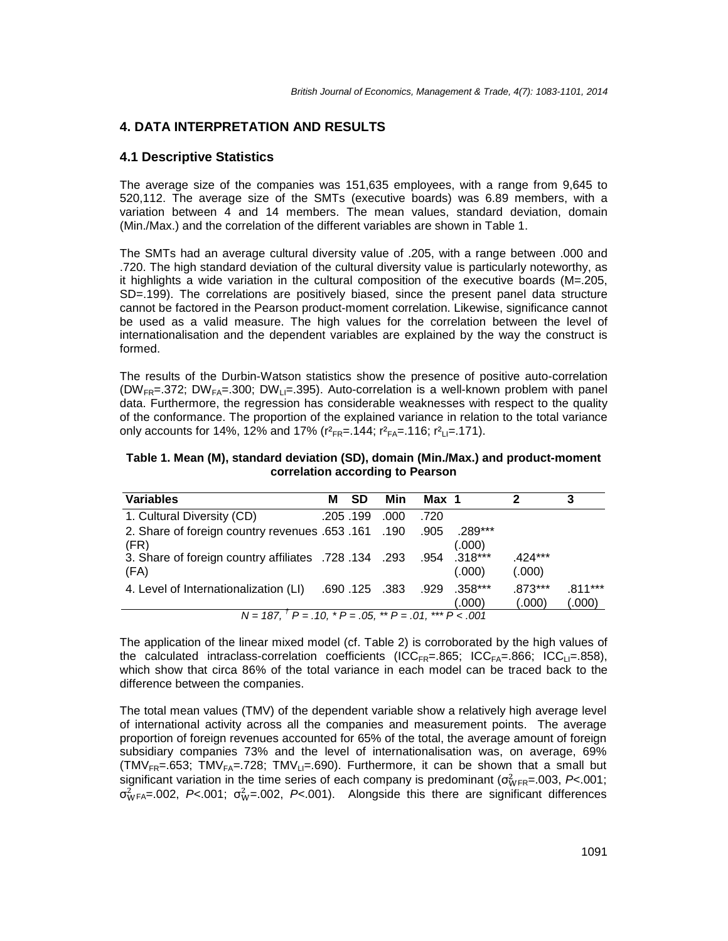# **4. DATA INTERPRETATION AND RESULTS**

#### **4.1 Descriptive Statistics**

The average size of the companies was 151,635 employees, with a range from 9,645 to 520,112. The average size of the SMTs (executive boards) was 6.89 members, with a variation between 4 and 14 members. The mean values, standard deviation, domain (Min./Max.) and the correlation of the different variables are shown in Table 1.

The SMTs had an average cultural diversity value of .205, with a range between .000 and .720. The high standard deviation of the cultural diversity value is particularly noteworthy, as it highlights a wide variation in the cultural composition of the executive boards (M=.205, SD=.199). The correlations are positively biased, since the present panel data structure cannot be factored in the Pearson product-moment correlation. Likewise, significance cannot be used as a valid measure. The high values for the correlation between the level of internationalisation and the dependent variables are explained by the way the construct is formed.

The results of the Durbin-Watson statistics show the presence of positive auto-correlation (DW<sub>FR</sub>=.372; DW<sub>FA</sub>=.300; DW<sub>LI</sub>=.395). Auto-correlation is a well-known problem with panel data. Furthermore, the regression has considerable weaknesses with respect to the quality of the conformance. The proportion of the explained variance in relation to the total variance only accounts for 14%, 12% and 17% ( $r^2_{FR} = .144$ ;  $r^2_{FA} = .116$ ;  $r^2_{LI} = .171$ ).

**Table 1. Mean (M), standard deviation (SD), domain (Min./Max.) and product-moment correlation according to Pearson** 

| <b>Variables</b>                                                                                      | м | <b>SD</b> | Min          | Max 1 |                        | 2                   | 3                   |
|-------------------------------------------------------------------------------------------------------|---|-----------|--------------|-------|------------------------|---------------------|---------------------|
| 1. Cultural Diversity (CD)                                                                            |   | .205.199  | .000         | .720  |                        |                     |                     |
| 2. Share of foreign country revenues .653 .161 .190<br>(FR)                                           |   |           |              | .905  | $.289***$<br>(.000)    |                     |                     |
| 3. Share of foreign country affiliates .728 .134 .293<br>(FA)                                         |   |           |              |       | .954 .318***<br>(.000) | $.424***$<br>(.000) |                     |
| 4. Level of Internationalization (LI)                                                                 |   |           | .690.125.383 | .929  | .358***<br>(.000)      | $.873***$<br>(.000) | $.811***$<br>(.000) |
| $\overline{N} = 187, \overline{P} = .10, \overline{P} = .05, \overline{P} = .01, \overline{P} = .001$ |   |           |              |       |                        |                     |                     |

The application of the linear mixed model (cf. Table 2) is corroborated by the high values of the calculated intraclass-correlation coefficients (ICC<sub>FR</sub>=.865; ICC<sub>FA</sub>=.866; ICC<sub>LI</sub>=.858), which show that circa 86% of the total variance in each model can be traced back to the difference between the companies.

The total mean values (TMV) of the dependent variable show a relatively high average level of international activity across all the companies and measurement points. The average proportion of foreign revenues accounted for 65% of the total, the average amount of foreign subsidiary companies 73% and the level of internationalisation was, on average, 69% (TMV<sub>FR</sub>=.653; TMV<sub>FA</sub>=.728; TMV<sub>LI</sub>=.690). Furthermore, it can be shown that a small but significant variation in the time series of each company is predominant ( $\sigma_{\text{WFR}}^2$ = 003, P< 001;  $\sigma_{WFA}^2$ =.002, P<.001;  $\sigma_W^2$ =.002, P<.001). Alongside this there are significant differences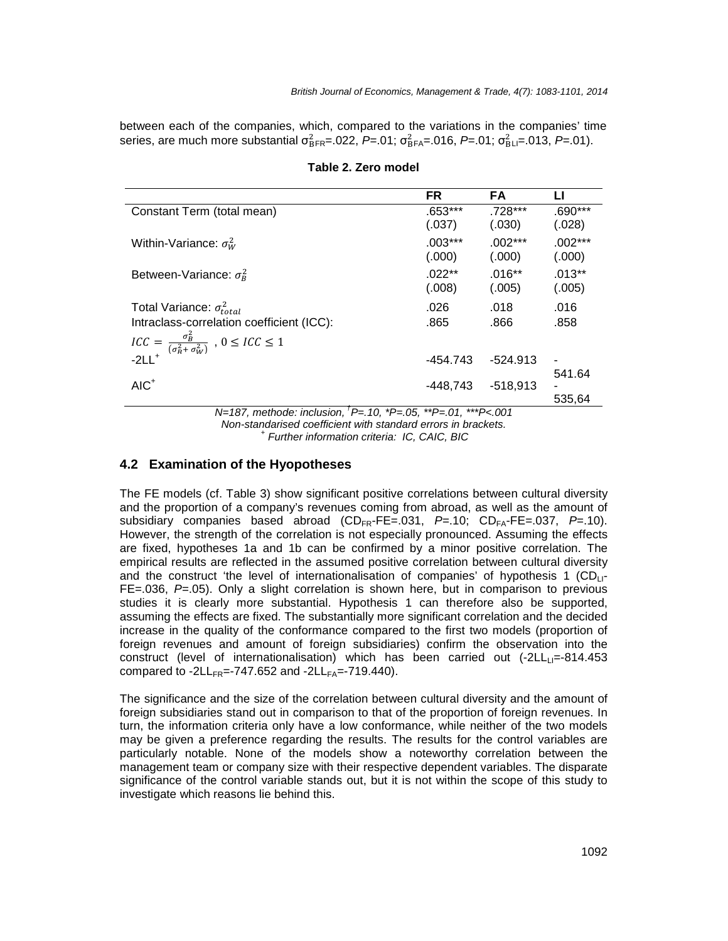between each of the companies, which, compared to the variations in the companies' time series, are much more substantial  $\sigma_{\text{BFR}}^2 = .022$ , P=.01;  $\sigma_{\text{BFA}}^2 = .016$ , P=.01;  $\sigma_{\text{BLI}}^2 = .013$ , P=.01).

|                                                                                                 | <b>FR</b> | <b>FA</b>  | Ц              |  |  |
|-------------------------------------------------------------------------------------------------|-----------|------------|----------------|--|--|
| Constant Term (total mean)                                                                      | $.653***$ | $.728***$  | $.690***$      |  |  |
|                                                                                                 | (.037)    | (.030)     | (.028)         |  |  |
| Within-Variance: $\sigma_W^2$                                                                   | $.003***$ | $.002***$  | $.002***$      |  |  |
|                                                                                                 | (.000)    | (.000)     | (.000)         |  |  |
| Between-Variance: $\sigma_R^2$                                                                  | $.022**$  | $.016**$   | $.013**$       |  |  |
|                                                                                                 | (.008)    | (.005)     | (.005)         |  |  |
| Total Variance: $\sigma_{total}^2$                                                              | .026      | .018       | .016           |  |  |
| Intraclass-correlation coefficient (ICC):                                                       | .865      | .866       | .858           |  |  |
| $ICC = \frac{\sigma_B^2}{(\sigma_R^2 + \sigma_W^2)}$ , $0 \leq ICC \leq 1$<br>-2LL <sup>+</sup> |           |            |                |  |  |
|                                                                                                 | -454.743  | $-524.913$ | $\blacksquare$ |  |  |
|                                                                                                 |           |            | 541.64         |  |  |
| $AIC+$                                                                                          | -448.743  | $-518,913$ |                |  |  |
|                                                                                                 |           |            | 535,64         |  |  |
| N=187, methode: inclusion, <sup>T</sup> P=, 10, *P=, 05, **P=, 01, ***P<, 001                   |           |            |                |  |  |

#### **Table 2. Zero model**

N=187, methode: inclusion,  ${}^{^\dagger}P = .10$ ,  ${}^{*}P = .05$ ,  ${}^{*}P = .01$ ,  ${}^{*}{}^{*}P < .001$ Non-standarised coefficient with standard errors in brackets. <sup>+</sup> Further information criteria: IC, CAIC, BIC

#### **4.2 Examination of the Hyopotheses**

The FE models (cf. Table 3) show significant positive correlations between cultural diversity and the proportion of a company's revenues coming from abroad, as well as the amount of subsidiary companies based abroad  $(CD_{FR} - FE = .031, P = .10; CD_{FA} - FE = .037, P = .10)$ . However, the strength of the correlation is not especially pronounced. Assuming the effects are fixed, hypotheses 1a and 1b can be confirmed by a minor positive correlation. The empirical results are reflected in the assumed positive correlation between cultural diversity and the construct 'the level of internationalisation of companies' of hypothesis 1  $(CD<sub>1</sub> -$ FE=.036,  $P=0.05$ ). Only a slight correlation is shown here, but in comparison to previous studies it is clearly more substantial. Hypothesis 1 can therefore also be supported, assuming the effects are fixed. The substantially more significant correlation and the decided increase in the quality of the conformance compared to the first two models (proportion of foreign revenues and amount of foreign subsidiaries) confirm the observation into the construct (level of internationalisation) which has been carried out  $(-2LL_{\text{II}}=814.453)$ compared to -2LL<sub>FR</sub>=-747.652 and -2LL<sub>FA</sub>=-719.440).

The significance and the size of the correlation between cultural diversity and the amount of foreign subsidiaries stand out in comparison to that of the proportion of foreign revenues. In turn, the information criteria only have a low conformance, while neither of the two models may be given a preference regarding the results. The results for the control variables are particularly notable. None of the models show a noteworthy correlation between the management team or company size with their respective dependent variables. The disparate significance of the control variable stands out, but it is not within the scope of this study to investigate which reasons lie behind this.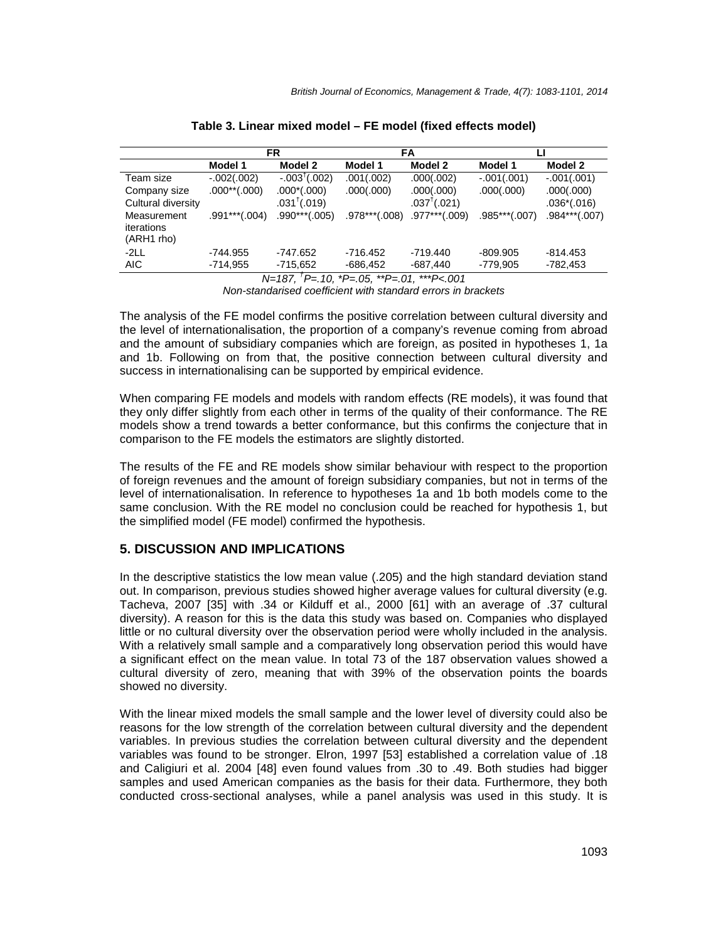|                                         | FR                            |                         |                 | FA                     |                 |                 |  |
|-----------------------------------------|-------------------------------|-------------------------|-----------------|------------------------|-----------------|-----------------|--|
|                                         | Model 1                       | Model 2                 | Model 1         | Model 2                | Model 1         | Model 2         |  |
| Team size                               | $-.002(.002)$                 | $-.003^{\dagger}(.002)$ | .001(.002)      | .000(.002)             | $-.001(.001)$   | $-.001(.001)$   |  |
| Company size                            | $.000$ <sup>**</sup> $(.000)$ | $.000^*(.000)$          | .000(.000)      | .000(.000)             | .000(.000)      | .000(.000)      |  |
| Cultural diversity                      |                               | $.031^{\dagger}(.019)$  |                 | $.037^{\dagger}(.021)$ |                 | $.036*(.016)$   |  |
| Measurement<br>iterations<br>(ARH1 rho) | $.991***(.004)$               | .990***(.005)           | $.978***(.008)$ | $.977***(.009)$        | $.985***(.007)$ | $.984***(.007)$ |  |
| $-2LL$                                  | -744.955                      | -747.652                | -716.452        | $-719.440$             | $-809.905$      | -814.453        |  |
| AIC.                                    | $-714.955$                    | $-715,652$              | $-686,452$      | $-687,440$             | $-779,905$      | $-782,453$      |  |

N=187, † P=.10, \*P=.05, \*\*P=.01, \*\*\*P<.001 Non-standarised coefficient with standard errors in brackets

The analysis of the FE model confirms the positive correlation between cultural diversity and the level of internationalisation, the proportion of a company's revenue coming from abroad and the amount of subsidiary companies which are foreign, as posited in hypotheses 1, 1a and 1b. Following on from that, the positive connection between cultural diversity and success in internationalising can be supported by empirical evidence.

When comparing FE models and models with random effects (RE models), it was found that they only differ slightly from each other in terms of the quality of their conformance. The RE models show a trend towards a better conformance, but this confirms the conjecture that in comparison to the FE models the estimators are slightly distorted.

The results of the FE and RE models show similar behaviour with respect to the proportion of foreign revenues and the amount of foreign subsidiary companies, but not in terms of the level of internationalisation. In reference to hypotheses 1a and 1b both models come to the same conclusion. With the RE model no conclusion could be reached for hypothesis 1, but the simplified model (FE model) confirmed the hypothesis.

# **5. DISCUSSION AND IMPLICATIONS**

In the descriptive statistics the low mean value (.205) and the high standard deviation stand out. In comparison, previous studies showed higher average values for cultural diversity (e.g. Tacheva, 2007 [35] with .34 or Kilduff et al., 2000 [61] with an average of .37 cultural diversity). A reason for this is the data this study was based on. Companies who displayed little or no cultural diversity over the observation period were wholly included in the analysis. With a relatively small sample and a comparatively long observation period this would have a significant effect on the mean value. In total 73 of the 187 observation values showed a cultural diversity of zero, meaning that with 39% of the observation points the boards showed no diversity.

With the linear mixed models the small sample and the lower level of diversity could also be reasons for the low strength of the correlation between cultural diversity and the dependent variables. In previous studies the correlation between cultural diversity and the dependent variables was found to be stronger. Elron, 1997 [53] established a correlation value of .18 and Caligiuri et al. 2004 [48] even found values from .30 to .49. Both studies had bigger samples and used American companies as the basis for their data. Furthermore, they both conducted cross-sectional analyses, while a panel analysis was used in this study. It is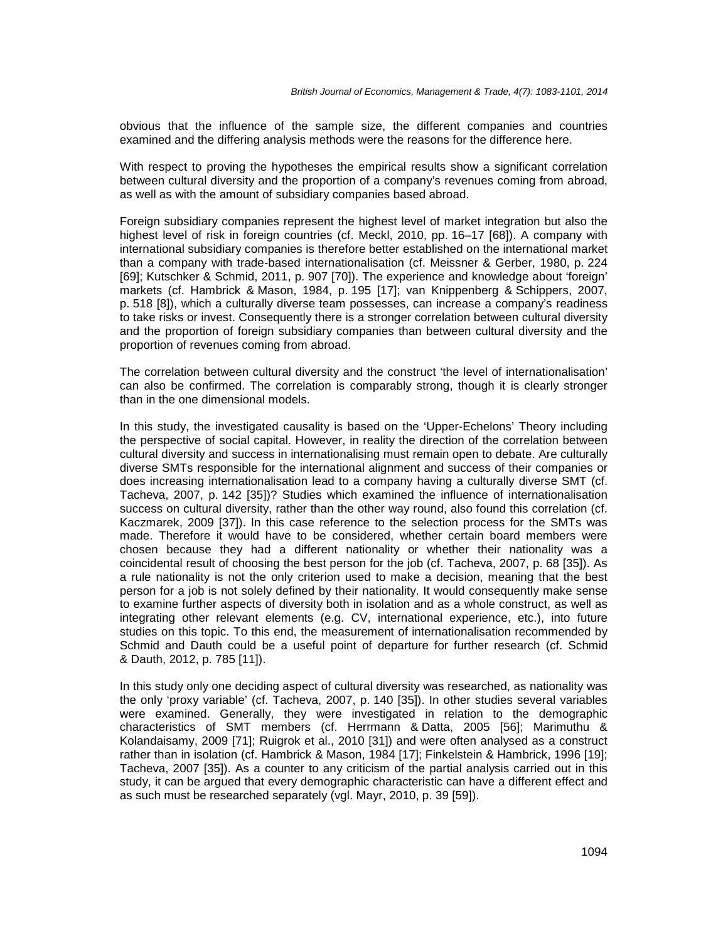obvious that the influence of the sample size, the different companies and countries examined and the differing analysis methods were the reasons for the difference here.

With respect to proving the hypotheses the empirical results show a significant correlation between cultural diversity and the proportion of a company's revenues coming from abroad, as well as with the amount of subsidiary companies based abroad.

Foreign subsidiary companies represent the highest level of market integration but also the highest level of risk in foreign countries (cf. Meckl, 2010, pp. 16–17 [68]). A company with international subsidiary companies is therefore better established on the international market than a company with trade-based internationalisation (cf. Meissner & Gerber, 1980, p. 224 [69]; Kutschker & Schmid, 2011, p. 907 [70]). The experience and knowledge about 'foreign' markets (cf. Hambrick & Mason, 1984, p. 195 [17]; van Knippenberg & Schippers, 2007, p. 518 [8]), which a culturally diverse team possesses, can increase a company's readiness to take risks or invest. Consequently there is a stronger correlation between cultural diversity and the proportion of foreign subsidiary companies than between cultural diversity and the proportion of revenues coming from abroad.

The correlation between cultural diversity and the construct 'the level of internationalisation' can also be confirmed. The correlation is comparably strong, though it is clearly stronger than in the one dimensional models.

In this study, the investigated causality is based on the 'Upper-Echelons' Theory including the perspective of social capital. However, in reality the direction of the correlation between cultural diversity and success in internationalising must remain open to debate. Are culturally diverse SMTs responsible for the international alignment and success of their companies or does increasing internationalisation lead to a company having a culturally diverse SMT (cf. Tacheva, 2007, p. 142 [35])? Studies which examined the influence of internationalisation success on cultural diversity, rather than the other way round, also found this correlation (cf. Kaczmarek, 2009 [37]). In this case reference to the selection process for the SMTs was made. Therefore it would have to be considered, whether certain board members were chosen because they had a different nationality or whether their nationality was a coincidental result of choosing the best person for the job (cf. Tacheva, 2007, p. 68 [35]). As a rule nationality is not the only criterion used to make a decision, meaning that the best person for a job is not solely defined by their nationality. It would consequently make sense to examine further aspects of diversity both in isolation and as a whole construct, as well as integrating other relevant elements (e.g. CV, international experience, etc.), into future studies on this topic. To this end, the measurement of internationalisation recommended by Schmid and Dauth could be a useful point of departure for further research (cf. Schmid & Dauth, 2012, p. 785 [11]).

In this study only one deciding aspect of cultural diversity was researched, as nationality was the only 'proxy variable' (cf. Tacheva, 2007, p. 140 [35]). In other studies several variables were examined. Generally, they were investigated in relation to the demographic characteristics of SMT members (cf. Herrmann & Datta, 2005 [56]; Marimuthu & Kolandaisamy, 2009 [71]; Ruigrok et al., 2010 [31]) and were often analysed as a construct rather than in isolation (cf. Hambrick & Mason, 1984 [17]; Finkelstein & Hambrick, 1996 [19]; Tacheva, 2007 [35]). As a counter to any criticism of the partial analysis carried out in this study, it can be argued that every demographic characteristic can have a different effect and as such must be researched separately (vgl. Mayr, 2010, p. 39 [59]).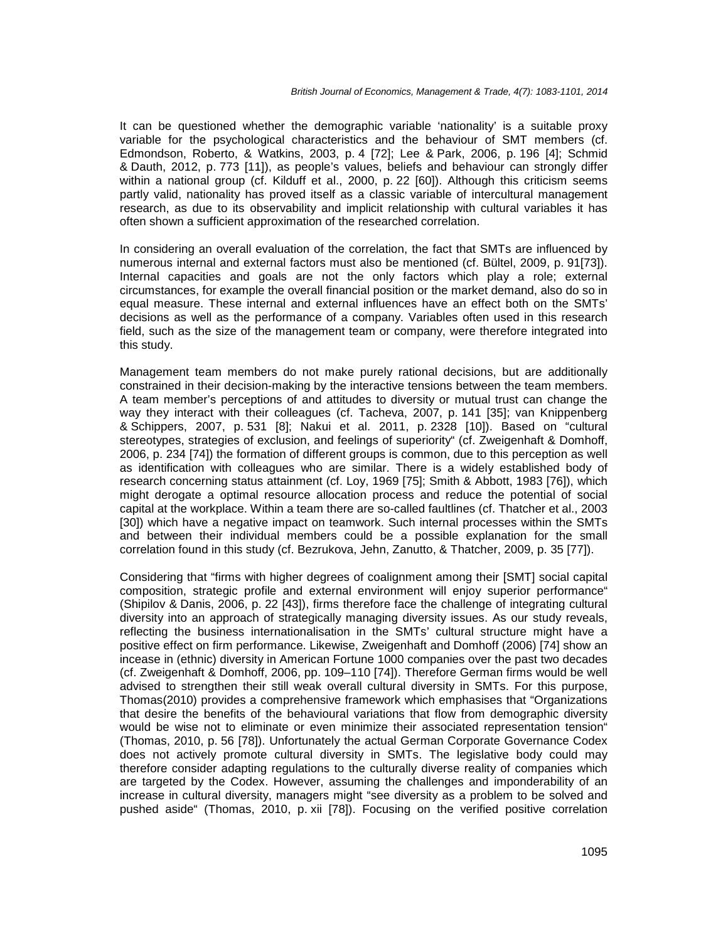It can be questioned whether the demographic variable 'nationality' is a suitable proxy variable for the psychological characteristics and the behaviour of SMT members (cf. Edmondson, Roberto, & Watkins, 2003, p. 4 [72]; Lee & Park, 2006, p. 196 [4]; Schmid & Dauth, 2012, p. 773 [11]), as people's values, beliefs and behaviour can strongly differ within a national group (cf. Kilduff et al., 2000, p. 22 [60]). Although this criticism seems partly valid, nationality has proved itself as a classic variable of intercultural management research, as due to its observability and implicit relationship with cultural variables it has often shown a sufficient approximation of the researched correlation.

In considering an overall evaluation of the correlation, the fact that SMTs are influenced by numerous internal and external factors must also be mentioned (cf. Bültel, 2009, p. 91[73]). Internal capacities and goals are not the only factors which play a role; external circumstances, for example the overall financial position or the market demand, also do so in equal measure. These internal and external influences have an effect both on the SMTs' decisions as well as the performance of a company. Variables often used in this research field, such as the size of the management team or company, were therefore integrated into this study.

Management team members do not make purely rational decisions, but are additionally constrained in their decision-making by the interactive tensions between the team members. A team member's perceptions of and attitudes to diversity or mutual trust can change the way they interact with their colleagues (cf. Tacheva, 2007, p. 141 [35]; van Knippenberg & Schippers, 2007, p. 531 [8]; Nakui et al. 2011, p. 2328 [10]). Based on "cultural stereotypes, strategies of exclusion, and feelings of superiority" (cf. Zweigenhaft & Domhoff, 2006, p. 234 [74]) the formation of different groups is common, due to this perception as well as identification with colleagues who are similar. There is a widely established body of research concerning status attainment (cf. Loy, 1969 [75]; Smith & Abbott, 1983 [76]), which might derogate a optimal resource allocation process and reduce the potential of social capital at the workplace. Within a team there are so-called faultlines (cf. Thatcher et al., 2003 [30]) which have a negative impact on teamwork. Such internal processes within the SMTs and between their individual members could be a possible explanation for the small correlation found in this study (cf. Bezrukova, Jehn, Zanutto, & Thatcher, 2009, p. 35 [77]).

Considering that "firms with higher degrees of coalignment among their [SMT] social capital composition, strategic profile and external environment will enjoy superior performance" (Shipilov & Danis, 2006, p. 22 [43]), firms therefore face the challenge of integrating cultural diversity into an approach of strategically managing diversity issues. As our study reveals, reflecting the business internationalisation in the SMTs' cultural structure might have a positive effect on firm performance. Likewise, Zweigenhaft and Domhoff (2006) [74] show an incease in (ethnic) diversity in American Fortune 1000 companies over the past two decades (cf. Zweigenhaft & Domhoff, 2006, pp. 109–110 [74]). Therefore German firms would be well advised to strengthen their still weak overall cultural diversity in SMTs. For this purpose, Thomas(2010) provides a comprehensive framework which emphasises that "Organizations that desire the benefits of the behavioural variations that flow from demographic diversity would be wise not to eliminate or even minimize their associated representation tension" (Thomas, 2010, p. 56 [78]). Unfortunately the actual German Corporate Governance Codex does not actively promote cultural diversity in SMTs. The legislative body could may therefore consider adapting regulations to the culturally diverse reality of companies which are targeted by the Codex. However, assuming the challenges and imponderability of an increase in cultural diversity, managers might "see diversity as a problem to be solved and pushed aside" (Thomas, 2010, p. xii [78]). Focusing on the verified positive correlation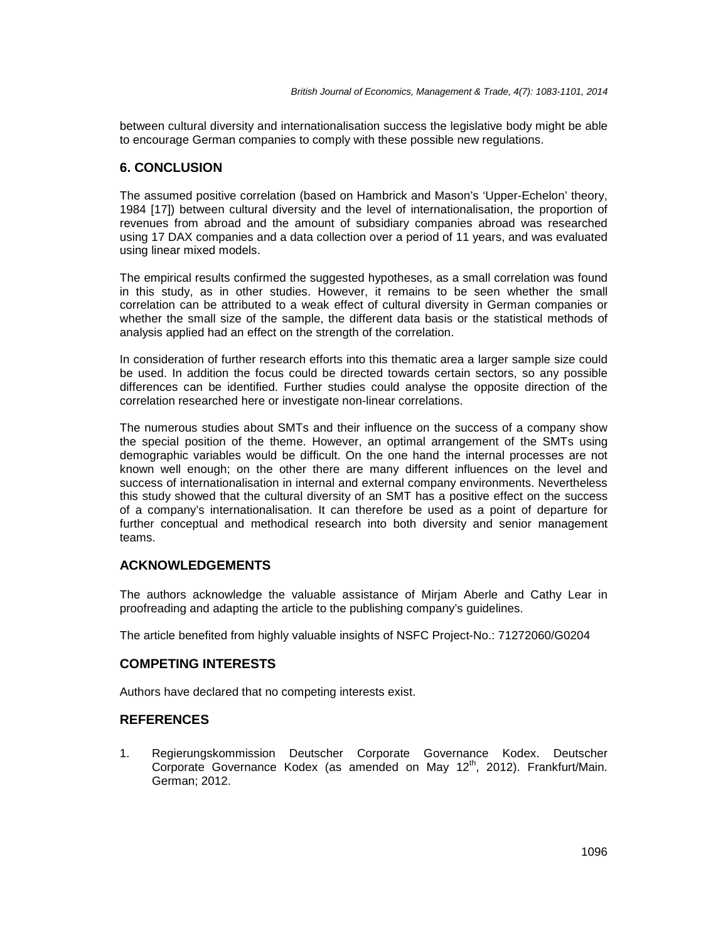between cultural diversity and internationalisation success the legislative body might be able to encourage German companies to comply with these possible new regulations.

#### **6. CONCLUSION**

The assumed positive correlation (based on Hambrick and Mason's 'Upper-Echelon' theory, 1984 [17]) between cultural diversity and the level of internationalisation, the proportion of revenues from abroad and the amount of subsidiary companies abroad was researched using 17 DAX companies and a data collection over a period of 11 years, and was evaluated using linear mixed models.

The empirical results confirmed the suggested hypotheses, as a small correlation was found in this study, as in other studies. However, it remains to be seen whether the small correlation can be attributed to a weak effect of cultural diversity in German companies or whether the small size of the sample, the different data basis or the statistical methods of analysis applied had an effect on the strength of the correlation.

In consideration of further research efforts into this thematic area a larger sample size could be used. In addition the focus could be directed towards certain sectors, so any possible differences can be identified. Further studies could analyse the opposite direction of the correlation researched here or investigate non-linear correlations.

The numerous studies about SMTs and their influence on the success of a company show the special position of the theme. However, an optimal arrangement of the SMTs using demographic variables would be difficult. On the one hand the internal processes are not known well enough; on the other there are many different influences on the level and success of internationalisation in internal and external company environments. Nevertheless this study showed that the cultural diversity of an SMT has a positive effect on the success of a company's internationalisation. It can therefore be used as a point of departure for further conceptual and methodical research into both diversity and senior management teams.

# **ACKNOWLEDGEMENTS**

The authors acknowledge the valuable assistance of Mirjam Aberle and Cathy Lear in proofreading and adapting the article to the publishing company's guidelines.

The article benefited from highly valuable insights of NSFC Project-No.: 71272060/G0204

# **COMPETING INTERESTS**

Authors have declared that no competing interests exist.

# **REFERENCES**

1. Regierungskommission Deutscher Corporate Governance Kodex. Deutscher Corporate Governance Kodex (as amended on May 12<sup>th</sup>, 2012). Frankfurt/Main. German; 2012.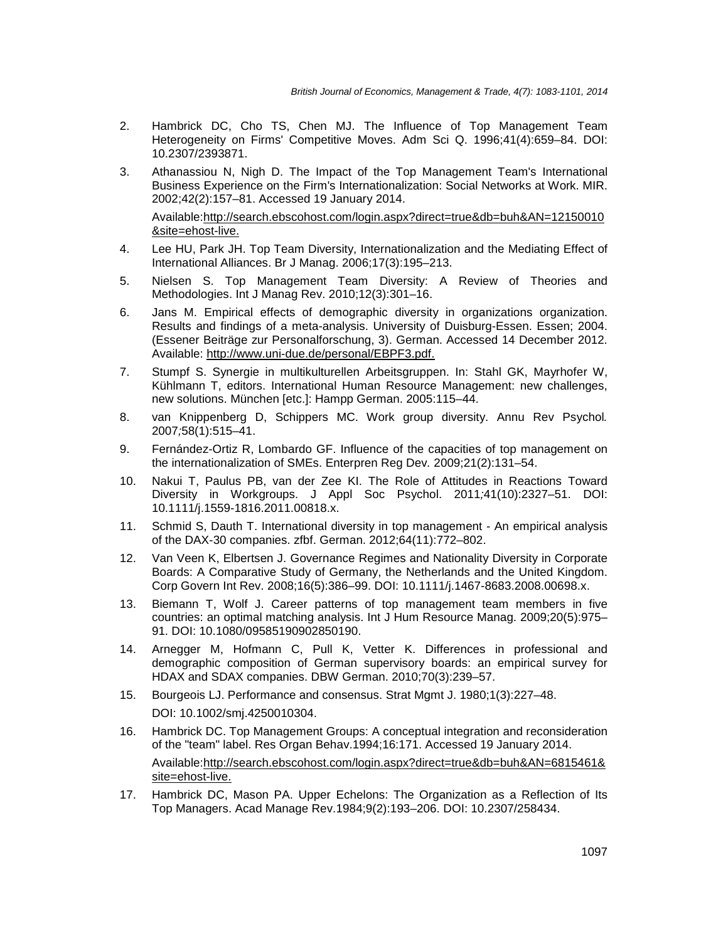- 2. Hambrick DC, Cho TS, Chen MJ. The Influence of Top Management Team Heterogeneity on Firms' Competitive Moves. Adm Sci Q. 1996;41(4):659–84. DOI: 10.2307/2393871.
- 3. Athanassiou N, Nigh D. The Impact of the Top Management Team's International Business Experience on the Firm's Internationalization: Social Networks at Work. MIR. 2002;42(2):157–81. Accessed 19 January 2014.

Available:http://search.ebscohost.com/login.aspx?direct=true&db=buh&AN=12150010 &site=ehost-live.

- 4. Lee HU, Park JH. Top Team Diversity, Internationalization and the Mediating Effect of International Alliances. Br J Manag. 2006;17(3):195–213.
- 5. Nielsen S. Top Management Team Diversity: A Review of Theories and Methodologies. Int J Manag Rev. 2010;12(3):301–16.
- 6. Jans M. Empirical effects of demographic diversity in organizations organization. Results and findings of a meta-analysis. University of Duisburg-Essen. Essen; 2004. (Essener Beiträge zur Personalforschung, 3). German. Accessed 14 December 2012. Available: http://www.uni-due.de/personal/EBPF3.pdf.
- 7. Stumpf S. Synergie in multikulturellen Arbeitsgruppen. In: Stahl GK, Mayrhofer W, Kühlmann T, editors. International Human Resource Management: new challenges, new solutions. München [etc.]: Hampp German. 2005:115–44.
- 8. van Knippenberg D, Schippers MC. Work group diversity. Annu Rev Psychol. 2007;58(1):515–41.
- 9. Fernández-Ortiz R, Lombardo GF. Influence of the capacities of top management on the internationalization of SMEs. Enterpren Reg Dev. 2009;21(2):131–54.
- 10. Nakui T, Paulus PB, van der Zee KI. The Role of Attitudes in Reactions Toward Diversity in Workgroups. J Appl Soc Psychol. 2011;41(10):2327–51. DOI: 10.1111/j.1559-1816.2011.00818.x.
- 11. Schmid S, Dauth T. International diversity in top management An empirical analysis of the DAX-30 companies. zfbf. German. 2012;64(11):772–802.
- 12. Van Veen K, Elbertsen J. Governance Regimes and Nationality Diversity in Corporate Boards: A Comparative Study of Germany, the Netherlands and the United Kingdom. Corp Govern Int Rev. 2008;16(5):386–99. DOI: 10.1111/j.1467-8683.2008.00698.x.
- 13. Biemann T, Wolf J. Career patterns of top management team members in five countries: an optimal matching analysis. Int J Hum Resource Manag. 2009;20(5):975– 91. DOI: 10.1080/09585190902850190.
- 14. Arnegger M, Hofmann C, Pull K, Vetter K. Differences in professional and demographic composition of German supervisory boards: an empirical survey for HDAX and SDAX companies. DBW German. 2010;70(3):239–57.
- 15. Bourgeois LJ. Performance and consensus. Strat Mgmt J. 1980;1(3):227–48. DOI: 10.1002/smj.4250010304.
- 16. Hambrick DC. Top Management Groups: A conceptual integration and reconsideration of the "team" label. Res Organ Behav.1994;16:171. Accessed 19 January 2014. Available:http://search.ebscohost.com/login.aspx?direct=true&db=buh&AN=6815461& site=ehost-live.
- 17. Hambrick DC, Mason PA. Upper Echelons: The Organization as a Reflection of Its Top Managers. Acad Manage Rev.1984;9(2):193–206. DOI: 10.2307/258434.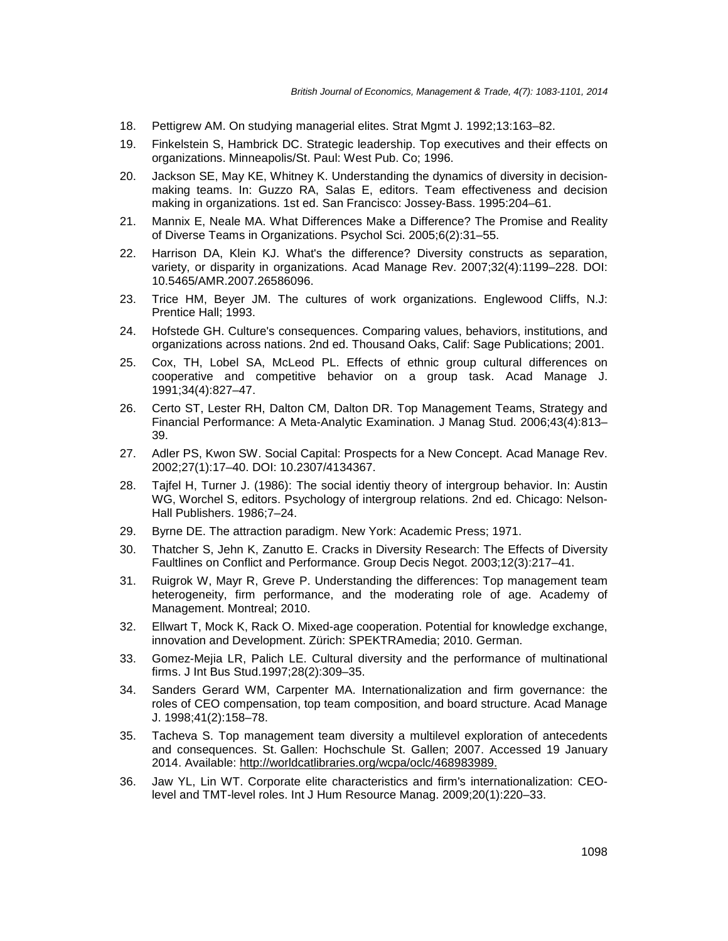- 18. Pettigrew AM. On studying managerial elites. Strat Mgmt J. 1992;13:163–82.
- 19. Finkelstein S, Hambrick DC. Strategic leadership. Top executives and their effects on organizations. Minneapolis/St. Paul: West Pub. Co; 1996.
- 20. Jackson SE, May KE, Whitney K. Understanding the dynamics of diversity in decisionmaking teams. In: Guzzo RA, Salas E, editors. Team effectiveness and decision making in organizations. 1st ed. San Francisco: Jossey-Bass. 1995:204–61.
- 21. Mannix E, Neale MA. What Differences Make a Difference? The Promise and Reality of Diverse Teams in Organizations. Psychol Sci. 2005;6(2):31–55.
- 22. Harrison DA, Klein KJ. What's the difference? Diversity constructs as separation, variety, or disparity in organizations. Acad Manage Rev. 2007;32(4):1199–228. DOI: 10.5465/AMR.2007.26586096.
- 23. Trice HM, Beyer JM. The cultures of work organizations. Englewood Cliffs, N.J: Prentice Hall; 1993.
- 24. Hofstede GH. Culture's consequences. Comparing values, behaviors, institutions, and organizations across nations. 2nd ed. Thousand Oaks, Calif: Sage Publications; 2001.
- 25. Cox, TH, Lobel SA, McLeod PL. Effects of ethnic group cultural differences on cooperative and competitive behavior on a group task. Acad Manage J. 1991;34(4):827–47.
- 26. Certo ST, Lester RH, Dalton CM, Dalton DR. Top Management Teams, Strategy and Financial Performance: A Meta-Analytic Examination. J Manag Stud. 2006;43(4):813– 39.
- 27. Adler PS, Kwon SW. Social Capital: Prospects for a New Concept. Acad Manage Rev. 2002;27(1):17–40. DOI: 10.2307/4134367.
- 28. Tajfel H, Turner J. (1986): The social identiy theory of intergroup behavior. In: Austin WG, Worchel S, editors. Psychology of intergroup relations. 2nd ed. Chicago: Nelson-Hall Publishers. 1986;7–24.
- 29. Byrne DE. The attraction paradigm. New York: Academic Press; 1971.
- 30. Thatcher S, Jehn K, Zanutto E. Cracks in Diversity Research: The Effects of Diversity Faultlines on Conflict and Performance. Group Decis Negot. 2003;12(3):217–41.
- 31. Ruigrok W, Mayr R, Greve P. Understanding the differences: Top management team heterogeneity, firm performance, and the moderating role of age. Academy of Management. Montreal; 2010.
- 32. Ellwart T, Mock K, Rack O. Mixed-age cooperation. Potential for knowledge exchange, innovation and Development. Zürich: SPEKTRAmedia; 2010. German.
- 33. Gomez-Mejia LR, Palich LE. Cultural diversity and the performance of multinational firms. J Int Bus Stud.1997;28(2):309–35.
- 34. Sanders Gerard WM, Carpenter MA. Internationalization and firm governance: the roles of CEO compensation, top team composition, and board structure. Acad Manage J. 1998;41(2):158–78.
- 35. Tacheva S. Top management team diversity a multilevel exploration of antecedents and consequences. St. Gallen: Hochschule St. Gallen; 2007. Accessed 19 January 2014. Available: http://worldcatlibraries.org/wcpa/oclc/468983989.
- 36. Jaw YL, Lin WT. Corporate elite characteristics and firm's internationalization: CEOlevel and TMT-level roles. Int J Hum Resource Manag. 2009;20(1):220–33.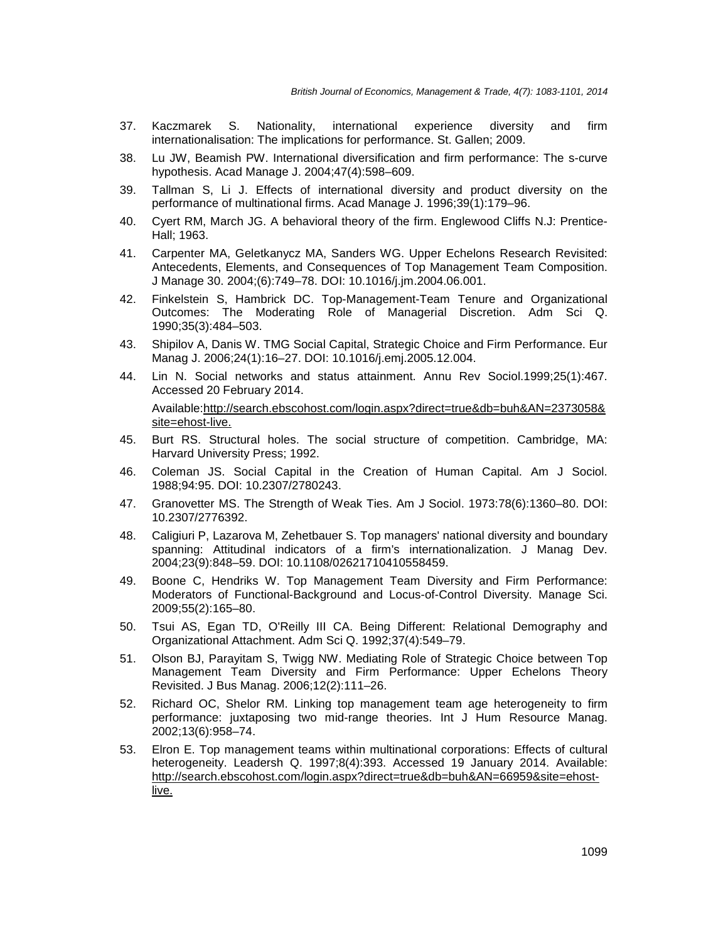- 37. Kaczmarek S. Nationality, international experience diversity and firm internationalisation: The implications for performance. St. Gallen; 2009.
- 38. Lu JW, Beamish PW. International diversification and firm performance: The s-curve hypothesis. Acad Manage J. 2004;47(4):598–609.
- 39. Tallman S, Li J. Effects of international diversity and product diversity on the performance of multinational firms. Acad Manage J. 1996;39(1):179–96.
- 40. Cyert RM, March JG. A behavioral theory of the firm. Englewood Cliffs N.J: Prentice-Hall; 1963.
- 41. Carpenter MA, Geletkanycz MA, Sanders WG. Upper Echelons Research Revisited: Antecedents, Elements, and Consequences of Top Management Team Composition. J Manage 30. 2004;(6):749–78. DOI: 10.1016/j.jm.2004.06.001.
- 42. Finkelstein S, Hambrick DC. Top-Management-Team Tenure and Organizational Outcomes: The Moderating Role of Managerial Discretion. Adm Sci Q. 1990;35(3):484–503.
- 43. Shipilov A, Danis W. TMG Social Capital, Strategic Choice and Firm Performance. Eur Manag J. 2006;24(1):16–27. DOI: 10.1016/j.emj.2005.12.004.
- 44. Lin N. Social networks and status attainment. Annu Rev Sociol.1999;25(1):467. Accessed 20 February 2014.

Available:http://search.ebscohost.com/login.aspx?direct=true&db=buh&AN=2373058& site=ehost-live.

- 45. Burt RS. Structural holes. The social structure of competition. Cambridge, MA: Harvard University Press; 1992.
- 46. Coleman JS. Social Capital in the Creation of Human Capital. Am J Sociol. 1988;94:95. DOI: 10.2307/2780243.
- 47. Granovetter MS. The Strength of Weak Ties. Am J Sociol. 1973:78(6):1360–80. DOI: 10.2307/2776392.
- 48. Caligiuri P, Lazarova M, Zehetbauer S. Top managers' national diversity and boundary spanning: Attitudinal indicators of a firm's internationalization. J Manag Dev. 2004;23(9):848–59. DOI: 10.1108/02621710410558459.
- 49. Boone C, Hendriks W. Top Management Team Diversity and Firm Performance: Moderators of Functional-Background and Locus-of-Control Diversity. Manage Sci. 2009;55(2):165–80.
- 50. Tsui AS, Egan TD, O'Reilly III CA. Being Different: Relational Demography and Organizational Attachment. Adm Sci Q. 1992;37(4):549–79.
- 51. Olson BJ, Parayitam S, Twigg NW. Mediating Role of Strategic Choice between Top Management Team Diversity and Firm Performance: Upper Echelons Theory Revisited. J Bus Manag. 2006;12(2):111–26.
- 52. Richard OC, Shelor RM. Linking top management team age heterogeneity to firm performance: juxtaposing two mid-range theories. Int J Hum Resource Manag. 2002;13(6):958–74.
- 53. Elron E. Top management teams within multinational corporations: Effects of cultural heterogeneity. Leadersh Q. 1997;8(4):393. Accessed 19 January 2014. Available: http://search.ebscohost.com/login.aspx?direct=true&db=buh&AN=66959&site=ehostlive.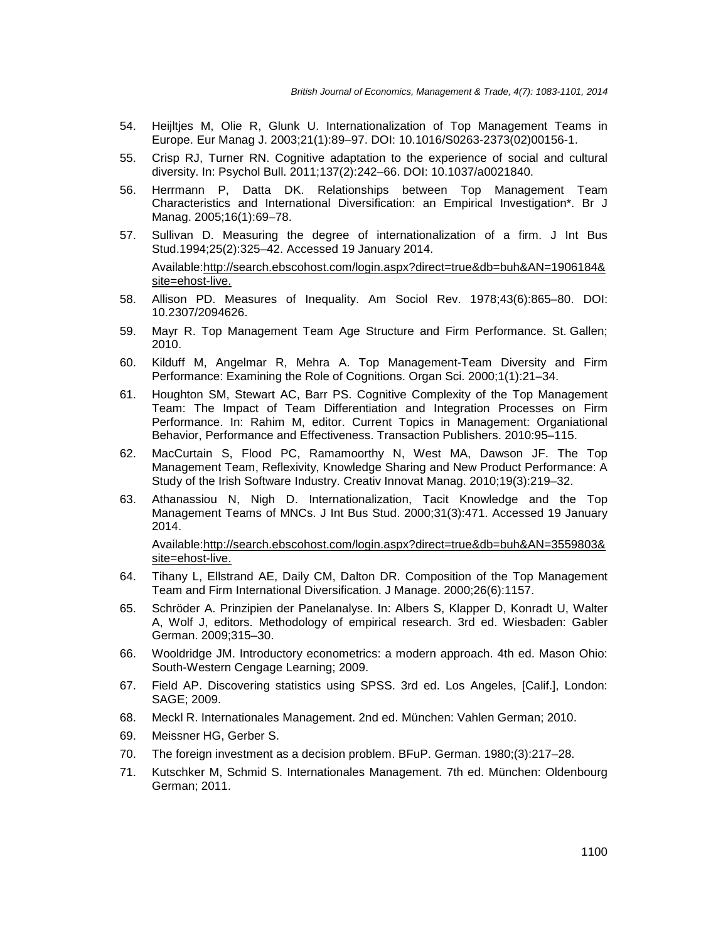- 54. Heijltjes M, Olie R, Glunk U. Internationalization of Top Management Teams in Europe. Eur Manag J. 2003;21(1):89–97. DOI: 10.1016/S0263-2373(02)00156-1.
- 55. Crisp RJ, Turner RN. Cognitive adaptation to the experience of social and cultural diversity. In: Psychol Bull. 2011;137(2):242–66. DOI: 10.1037/a0021840.
- 56. Herrmann P, Datta DK. Relationships between Top Management Team Characteristics and International Diversification: an Empirical Investigation\*. Br J Manag. 2005;16(1):69–78.
- 57. Sullivan D. Measuring the degree of internationalization of a firm. J Int Bus Stud.1994;25(2):325–42. Accessed 19 January 2014. Available:http://search.ebscohost.com/login.aspx?direct=true&db=buh&AN=1906184& site=ehost-live.
- 58. Allison PD. Measures of Inequality. Am Sociol Rev. 1978;43(6):865–80. DOI: 10.2307/2094626.
- 59. Mayr R. Top Management Team Age Structure and Firm Performance. St. Gallen; 2010.
- 60. Kilduff M, Angelmar R, Mehra A. Top Management-Team Diversity and Firm Performance: Examining the Role of Cognitions. Organ Sci. 2000;1(1):21–34.
- 61. Houghton SM, Stewart AC, Barr PS. Cognitive Complexity of the Top Management Team: The Impact of Team Differentiation and Integration Processes on Firm Performance. In: Rahim M, editor. Current Topics in Management: Organiational Behavior, Performance and Effectiveness. Transaction Publishers. 2010:95–115.
- 62. MacCurtain S, Flood PC, Ramamoorthy N, West MA, Dawson JF. The Top Management Team, Reflexivity, Knowledge Sharing and New Product Performance: A Study of the Irish Software Industry. Creativ Innovat Manag. 2010;19(3):219–32.
- 63. Athanassiou N, Nigh D. Internationalization, Tacit Knowledge and the Top Management Teams of MNCs. J Int Bus Stud. 2000;31(3):471. Accessed 19 January 2014.

Available:http://search.ebscohost.com/login.aspx?direct=true&db=buh&AN=3559803& site=ehost-live.

- 64. Tihany L, Ellstrand AE, Daily CM, Dalton DR. Composition of the Top Management Team and Firm International Diversification. J Manage. 2000;26(6):1157.
- 65. Schröder A. Prinzipien der Panelanalyse. In: Albers S, Klapper D, Konradt U, Walter A, Wolf J, editors. Methodology of empirical research. 3rd ed. Wiesbaden: Gabler German. 2009;315–30.
- 66. Wooldridge JM. Introductory econometrics: a modern approach. 4th ed. Mason Ohio: South-Western Cengage Learning; 2009.
- 67. Field AP. Discovering statistics using SPSS. 3rd ed. Los Angeles, [Calif.], London: SAGE; 2009.
- 68. Meckl R. Internationales Management. 2nd ed. München: Vahlen German; 2010.
- 69. Meissner HG, Gerber S.
- 70. The foreign investment as a decision problem. BFuP. German. 1980;(3):217–28.
- 71. Kutschker M, Schmid S. Internationales Management. 7th ed. München: Oldenbourg German; 2011.